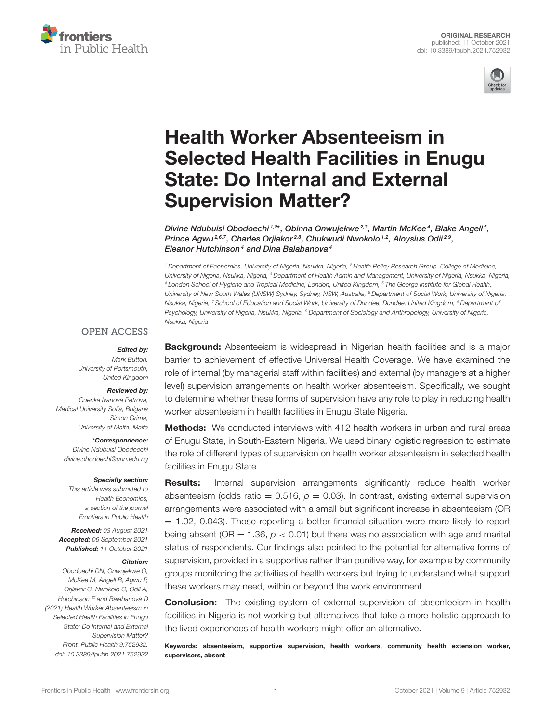



# Health Worker Absenteeism in [Selected Health Facilities in Enugu](https://www.frontiersin.org/articles/10.3389/fpubh.2021.752932/full) State: Do Internal and External Supervision Matter?

Divine Ndubuisi Obodoechi 1,2\*, Obinna Onwujekwe<sup>2,3</sup>, Martin McKee<sup>4</sup>, Blake Angell <sup>5</sup>, Prince Agwu<sup>2,6,7</sup>, Charles Orjiakor<sup>2,8</sup>, Chukwudi Nwokolo<sup>1,2</sup>, Aloysius Odii<sup>2,9</sup>, Eleanor Hutchinson<sup>4</sup> and Dina Balabanova<sup>4</sup>

*<sup>1</sup> Department of Economics, University of Nigeria, Nsukka, Nigeria, <sup>2</sup> Health Policy Research Group, College of Medicine, University of Nigeria, Nsukka, Nigeria, <sup>3</sup> Department of Health Admin and Management, University of Nigeria, Nsukka, Nigeria, <sup>4</sup> London School of Hygiene and Tropical Medicine, London, United Kingdom, <sup>5</sup> The George Institute for Global Health, University of New South Wales (UNSW) Sydney, Sydney, NSW, Australia, <sup>6</sup> Department of Social Work, University of Nigeria, Nsukka, Nigeria, <sup>7</sup> School of Education and Social Work, University of Dundee, Dundee, United Kingdom, <sup>8</sup> Department of Psychology, University of Nigeria, Nsukka, Nigeria, <sup>9</sup> Department of Sociology and Anthropology, University of Nigeria, Nsukka, Nigeria*

#### **OPEN ACCESS**

#### Edited by:

*Mark Button, University of Portsmouth, United Kingdom*

#### Reviewed by:

*Guenka Ivanova Petrova, Medical University Sofia, Bulgaria Simon Grima, University of Malta, Malta*

#### \*Correspondence:

*Divine Ndubuisi Obodoechi [divine.obodoechi@unn.edu.ng](mailto:divine.obodoechi@unn.edu.ng)*

#### Specialty section:

*This article was submitted to Health Economics, a section of the journal Frontiers in Public Health*

Received: *03 August 2021* Accepted: *06 September 2021* Published: *11 October 2021*

#### Citation:

*Obodoechi DN, Onwujekwe O, McKee M, Angell B, Agwu P, Orjiakor C, Nwokolo C, Odii A, Hutchinson E and Balabanova D (2021) Health Worker Absenteeism in Selected Health Facilities in Enugu State: Do Internal and External Supervision Matter? Front. Public Health 9:752932. doi: [10.3389/fpubh.2021.752932](https://doi.org/10.3389/fpubh.2021.752932)* **Background:** Absenteeism is widespread in Nigerian health facilities and is a major barrier to achievement of effective Universal Health Coverage. We have examined the role of internal (by managerial staff within facilities) and external (by managers at a higher level) supervision arrangements on health worker absenteeism. Specifically, we sought to determine whether these forms of supervision have any role to play in reducing health worker absenteeism in health facilities in Enugu State Nigeria.

**Methods:** We conducted interviews with 412 health workers in urban and rural areas of Enugu State, in South-Eastern Nigeria. We used binary logistic regression to estimate the role of different types of supervision on health worker absenteeism in selected health facilities in Enugu State.

**Results:** Internal supervision arrangements significantly reduce health worker absenteeism (odds ratio  $= 0.516$ ,  $p = 0.03$ ). In contrast, existing external supervision arrangements were associated with a small but significant increase in absenteeism (OR  $= 1.02$ , 0.043). Those reporting a better financial situation were more likely to report being absent ( $OR = 1.36$ ,  $p < 0.01$ ) but there was no association with age and marital status of respondents. Our findings also pointed to the potential for alternative forms of supervision, provided in a supportive rather than punitive way, for example by community groups monitoring the activities of health workers but trying to understand what support these workers may need, within or beyond the work environment.

**Conclusion:** The existing system of external supervision of absenteeism in health facilities in Nigeria is not working but alternatives that take a more holistic approach to the lived experiences of health workers might offer an alternative.

Keywords: absenteeism, supportive supervision, health workers, community health extension worker, supervisors, absent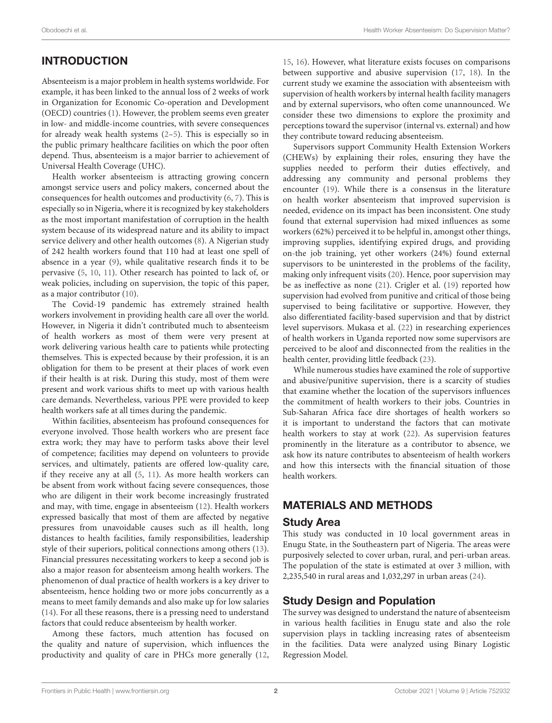# INTRODUCTION

Absenteeism is a major problem in health systems worldwide. For example, it has been linked to the annual loss of 2 weeks of work in Organization for Economic Co-operation and Development (OECD) countries [\(1\)](#page-5-0). However, the problem seems even greater in low- and middle-income countries, with severe consequences for already weak health systems [\(2–](#page-5-1)[5\)](#page-5-2). This is especially so in the public primary healthcare facilities on which the poor often depend. Thus, absenteeism is a major barrier to achievement of Universal Health Coverage (UHC).

Health worker absenteeism is attracting growing concern amongst service users and policy makers, concerned about the consequences for health outcomes and productivity [\(6,](#page-5-3) [7\)](#page-5-4). This is especially so in Nigeria, where it is recognized by key stakeholders as the most important manifestation of corruption in the health system because of its widespread nature and its ability to impact service delivery and other health outcomes [\(8\)](#page-5-5). A Nigerian study of 242 health workers found that 110 had at least one spell of absence in a year [\(9\)](#page-5-6), while qualitative research finds it to be pervasive [\(5,](#page-5-2) [10,](#page-5-7) [11\)](#page-5-8). Other research has pointed to lack of, or weak policies, including on supervision, the topic of this paper, as a major contributor [\(10\)](#page-5-7).

The Covid-19 pandemic has extremely strained health workers involvement in providing health care all over the world. However, in Nigeria it didn't contributed much to absenteeism of health workers as most of them were very present at work delivering various health care to patients while protecting themselves. This is expected because by their profession, it is an obligation for them to be present at their places of work even if their health is at risk. During this study, most of them were present and work various shifts to meet up with various health care demands. Nevertheless, various PPE were provided to keep health workers safe at all times during the pandemic.

Within facilities, absenteeism has profound consequences for everyone involved. Those health workers who are present face extra work; they may have to perform tasks above their level of competence; facilities may depend on volunteers to provide services, and ultimately, patients are offered low-quality care, if they receive any at all [\(5,](#page-5-2) [11\)](#page-5-8). As more health workers can be absent from work without facing severe consequences, those who are diligent in their work become increasingly frustrated and may, with time, engage in absenteeism [\(12\)](#page-5-9). Health workers expressed basically that most of them are affected by negative pressures from unavoidable causes such as ill health, long distances to health facilities, family responsibilities, leadership style of their superiors, political connections among others [\(13\)](#page-5-10). Financial pressures necessitating workers to keep a second job is also a major reason for absenteeism among health workers. The phenomenon of dual practice of health workers is a key driver to absenteeism, hence holding two or more jobs concurrently as a means to meet family demands and also make up for low salaries [\(14\)](#page-5-11). For all these reasons, there is a pressing need to understand factors that could reduce absenteeism by health worker.

Among these factors, much attention has focused on the quality and nature of supervision, which influences the productivity and quality of care in PHCs more generally [\(12,](#page-5-9) [15,](#page-5-12) [16\)](#page-5-13). However, what literature exists focuses on comparisons between supportive and abusive supervision [\(17,](#page-5-14) [18\)](#page-5-15). In the current study we examine the association with absenteeism with supervision of health workers by internal health facility managers and by external supervisors, who often come unannounced. We consider these two dimensions to explore the proximity and perceptions toward the supervisor (internal vs. external) and how they contribute toward reducing absenteeism.

Supervisors support Community Health Extension Workers (CHEWs) by explaining their roles, ensuring they have the supplies needed to perform their duties effectively, and addressing any community and personal problems they encounter [\(19\)](#page-5-16). While there is a consensus in the literature on health worker absenteeism that improved supervision is needed, evidence on its impact has been inconsistent. One study found that external supervision had mixed influences as some workers (62%) perceived it to be helpful in, amongst other things, improving supplies, identifying expired drugs, and providing on-the job training, yet other workers (24%) found external supervisors to be uninterested in the problems of the facility, making only infrequent visits [\(20\)](#page-5-17). Hence, poor supervision may be as ineffective as none [\(21\)](#page-5-18). Crigler et al. [\(19\)](#page-5-16) reported how supervision had evolved from punitive and critical of those being supervised to being facilitative or supportive. However, they also differentiated facility-based supervision and that by district level supervisors. Mukasa et al. [\(22\)](#page-5-19) in researching experiences of health workers in Uganda reported now some supervisors are perceived to be aloof and disconnected from the realities in the health center, providing little feedback [\(23\)](#page-5-20).

While numerous studies have examined the role of supportive and abusive/punitive supervision, there is a scarcity of studies that examine whether the location of the supervisors influences the commitment of health workers to their jobs. Countries in Sub-Saharan Africa face dire shortages of health workers so it is important to understand the factors that can motivate health workers to stay at work [\(22\)](#page-5-19). As supervision features prominently in the literature as a contributor to absence, we ask how its nature contributes to absenteeism of health workers and how this intersects with the financial situation of those health workers.

# MATERIALS AND METHODS

## Study Area

This study was conducted in 10 local government areas in Enugu State, in the Southeastern part of Nigeria. The areas were purposively selected to cover urban, rural, and peri-urban areas. The population of the state is estimated at over 3 million, with 2,235,540 in rural areas and 1,032,297 in urban areas [\(24\)](#page-5-21).

# Study Design and Population

The survey was designed to understand the nature of absenteeism in various health facilities in Enugu state and also the role supervision plays in tackling increasing rates of absenteeism in the facilities. Data were analyzed using Binary Logistic Regression Model.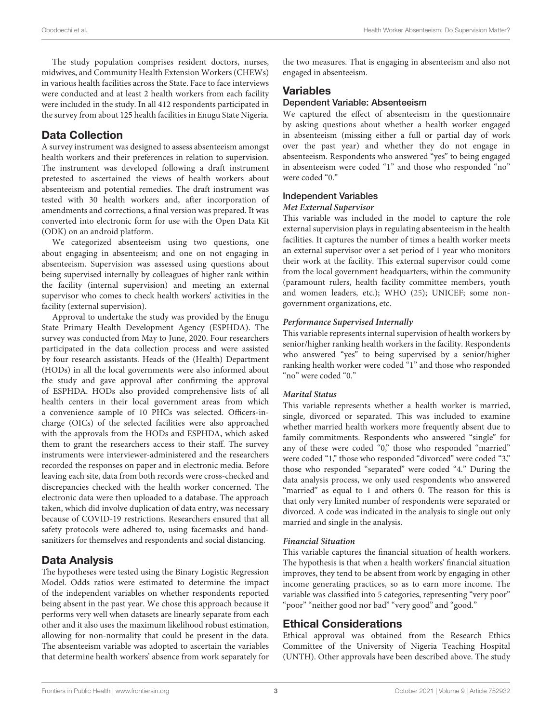The study population comprises resident doctors, nurses, midwives, and Community Health Extension Workers (CHEWs) in various health facilities across the State. Face to face interviews were conducted and at least 2 health workers from each facility were included in the study. In all 412 respondents participated in the survey from about 125 health facilities in Enugu State Nigeria.

# Data Collection

A survey instrument was designed to assess absenteeism amongst health workers and their preferences in relation to supervision. The instrument was developed following a draft instrument pretested to ascertained the views of health workers about absenteeism and potential remedies. The draft instrument was tested with 30 health workers and, after incorporation of amendments and corrections, a final version was prepared. It was converted into electronic form for use with the Open Data Kit (ODK) on an android platform.

We categorized absenteeism using two questions, one about engaging in absenteeism; and one on not engaging in absenteeism. Supervision was assessed using questions about being supervised internally by colleagues of higher rank within the facility (internal supervision) and meeting an external supervisor who comes to check health workers' activities in the facility (external supervision).

Approval to undertake the study was provided by the Enugu State Primary Health Development Agency (ESPHDA). The survey was conducted from May to June, 2020. Four researchers participated in the data collection process and were assisted by four research assistants. Heads of the (Health) Department (HODs) in all the local governments were also informed about the study and gave approval after confirming the approval of ESPHDA. HODs also provided comprehensive lists of all health centers in their local government areas from which a convenience sample of 10 PHCs was selected. Officers-incharge (OICs) of the selected facilities were also approached with the approvals from the HODs and ESPHDA, which asked them to grant the researchers access to their staff. The survey instruments were interviewer-administered and the researchers recorded the responses on paper and in electronic media. Before leaving each site, data from both records were cross-checked and discrepancies checked with the health worker concerned. The electronic data were then uploaded to a database. The approach taken, which did involve duplication of data entry, was necessary because of COVID-19 restrictions. Researchers ensured that all safety protocols were adhered to, using facemasks and handsanitizers for themselves and respondents and social distancing.

# Data Analysis

The hypotheses were tested using the Binary Logistic Regression Model. Odds ratios were estimated to determine the impact of the independent variables on whether respondents reported being absent in the past year. We chose this approach because it performs very well when datasets are linearly separate from each other and it also uses the maximum likelihood robust estimation, allowing for non-normality that could be present in the data. The absenteeism variable was adopted to ascertain the variables that determine health workers' absence from work separately for the two measures. That is engaging in absenteeism and also not engaged in absenteeism.

## Variables

# Dependent Variable: Absenteeism

We captured the effect of absenteeism in the questionnaire by asking questions about whether a health worker engaged in absenteeism (missing either a full or partial day of work over the past year) and whether they do not engage in absenteeism. Respondents who answered "yes" to being engaged in absenteeism were coded "1" and those who responded "no" were coded "0."

#### Independent Variables

#### **Met External Supervisor**

This variable was included in the model to capture the role external supervision plays in regulating absenteeism in the health facilities. It captures the number of times a health worker meets an external supervisor over a set period of 1 year who monitors their work at the facility. This external supervisor could come from the local government headquarters; within the community (paramount rulers, health facility committee members, youth and women leaders, etc.); WHO [\(25\)](#page-6-0); UNICEF; some nongovernment organizations, etc.

#### **Performance Supervised Internally**

This variable represents internal supervision of health workers by senior/higher ranking health workers in the facility. Respondents who answered "yes" to being supervised by a senior/higher ranking health worker were coded "1" and those who responded "no" were coded "0."

#### **Marital Status**

This variable represents whether a health worker is married, single, divorced or separated. This was included to examine whether married health workers more frequently absent due to family commitments. Respondents who answered "single" for any of these were coded "0," those who responded "married" were coded "1," those who responded "divorced" were coded "3," those who responded "separated" were coded "4." During the data analysis process, we only used respondents who answered "married" as equal to 1 and others 0. The reason for this is that only very limited number of respondents were separated or divorced. A code was indicated in the analysis to single out only married and single in the analysis.

#### **Financial Situation**

This variable captures the financial situation of health workers. The hypothesis is that when a health workers' financial situation improves, they tend to be absent from work by engaging in other income generating practices, so as to earn more income. The variable was classified into 5 categories, representing "very poor" "poor" "neither good nor bad" "very good" and "good."

# Ethical Considerations

Ethical approval was obtained from the Research Ethics Committee of the University of Nigeria Teaching Hospital (UNTH). Other approvals have been described above. The study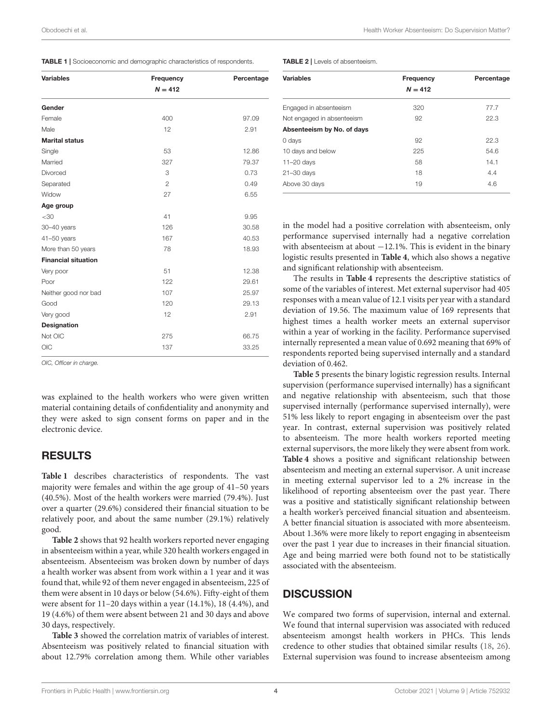<span id="page-3-0"></span>

|  | TABLE 1   Socioeconomic and demographic characteristics of respondents. |  |  |  |
|--|-------------------------------------------------------------------------|--|--|--|
|--|-------------------------------------------------------------------------|--|--|--|

| <b>Variables</b>           | Frequency      | Percentage |
|----------------------------|----------------|------------|
|                            | $N = 412$      |            |
| Gender                     |                |            |
| Female                     | 400            | 97.09      |
| Male                       | 12             | 2.91       |
| <b>Marital status</b>      |                |            |
| Single                     | 53             | 12.86      |
| Married                    | 327            | 79.37      |
| Divorced                   | 3              | 0.73       |
| Separated                  | $\overline{2}$ | 0.49       |
| Widow                      | 27             | 6.55       |
| Age group                  |                |            |
| $<$ 30                     | 41             | 9.95       |
| 30-40 years                | 126            | 30.58      |
| $41 - 50$ years            | 167            | 40.53      |
| More than 50 years         | 78             | 18.93      |
| <b>Financial situation</b> |                |            |
| Very poor                  | 51             | 12.38      |
| Poor                       | 122            | 29.61      |
| Neither good nor bad       | 107            | 25.97      |
| Good                       | 120            | 29.13      |
| Very good                  | 12             | 2.91       |
| <b>Designation</b>         |                |            |
| Not OIC                    | 275            | 66.75      |
| <b>OIC</b>                 | 137            | 33.25      |

*OIC, Officer in charge.*

was explained to the health workers who were given written material containing details of confidentiality and anonymity and they were asked to sign consent forms on paper and in the electronic device.

#### RESULTS

**[Table 1](#page-3-0)** describes characteristics of respondents. The vast majority were females and within the age group of 41–50 years (40.5%). Most of the health workers were married (79.4%). Just over a quarter (29.6%) considered their financial situation to be relatively poor, and about the same number (29.1%) relatively good.

**[Table 2](#page-3-1)** shows that 92 health workers reported never engaging in absenteeism within a year, while 320 health workers engaged in absenteeism. Absenteeism was broken down by number of days a health worker was absent from work within a 1 year and it was found that, while 92 of them never engaged in absenteeism, 225 of them were absent in 10 days or below (54.6%). Fifty-eight of them were absent for 11–20 days within a year (14.1%), 18 (4.4%), and 19 (4.6%) of them were absent between 21 and 30 days and above 30 days, respectively.

**[Table 3](#page-4-0)** showed the correlation matrix of variables of interest. Absenteeism was positively related to financial situation with about 12.79% correlation among them. While other variables

<span id="page-3-1"></span>

| <b>Variables</b>           | Frequency<br>$N = 412$ | Percentage |
|----------------------------|------------------------|------------|
| Engaged in absenteeism     | 320                    | 77.7       |
| Not engaged in absenteeism | 92                     | 22.3       |
| Absenteeism by No. of days |                        |            |
| 0 days                     | 92                     | 22.3       |
| 10 days and below          | 225                    | 54.6       |
| $11 - 20$ days             | 58                     | 14.1       |
| $21 - 30$ days             | 18                     | 4.4        |
| Above 30 days              | 19                     | 4.6        |
|                            |                        |            |

in the model had a positive correlation with absenteeism, only performance supervised internally had a negative correlation with absenteeism at about −12.1%. This is evident in the binary logistic results presented in **[Table 4](#page-4-1)**, which also shows a negative and significant relationship with absenteeism.

The results in **[Table 4](#page-4-1)** represents the descriptive statistics of some of the variables of interest. Met external supervisor had 405 responses with a mean value of 12.1 visits per year with a standard deviation of 19.56. The maximum value of 169 represents that highest times a health worker meets an external supervisor within a year of working in the facility. Performance supervised internally represented a mean value of 0.692 meaning that 69% of respondents reported being supervised internally and a standard deviation of 0.462.

**[Table 5](#page-4-2)** presents the binary logistic regression results. Internal supervision (performance supervised internally) has a significant and negative relationship with absenteeism, such that those supervised internally (performance supervised internally), were 51% less likely to report engaging in absenteeism over the past year. In contrast, external supervision was positively related to absenteeism. The more health workers reported meeting external supervisors, the more likely they were absent from work. **[Table 4](#page-4-1)** shows a positive and significant relationship between absenteeism and meeting an external supervisor. A unit increase in meeting external supervisor led to a 2% increase in the likelihood of reporting absenteeism over the past year. There was a positive and statistically significant relationship between a health worker's perceived financial situation and absenteeism. A better financial situation is associated with more absenteeism. About 1.36% were more likely to report engaging in absenteeism over the past 1 year due to increases in their financial situation. Age and being married were both found not to be statistically associated with the absenteeism.

#### **DISCUSSION**

We compared two forms of supervision, internal and external. We found that internal supervision was associated with reduced absenteeism amongst health workers in PHCs. This lends credence to other studies that obtained similar results [\(18,](#page-5-15) [26\)](#page-6-1). External supervision was found to increase absenteeism among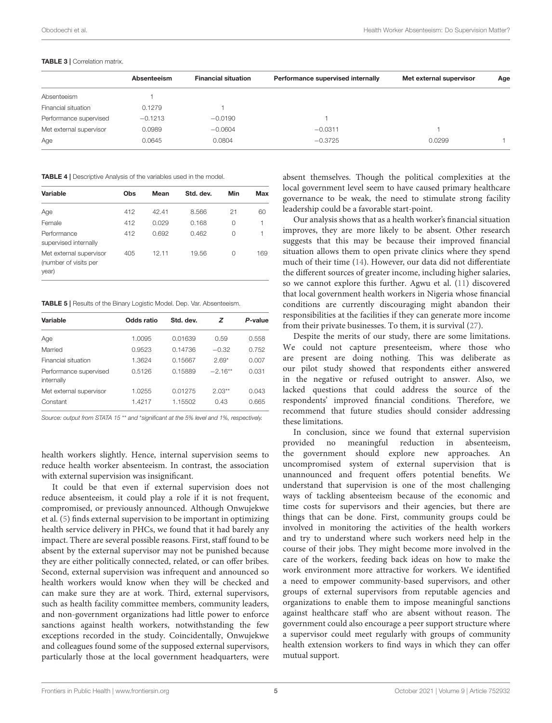<span id="page-4-0"></span>

|                         | Absenteeism | <b>Financial situation</b> | Performance supervised internally | Met external supervisor | Age |
|-------------------------|-------------|----------------------------|-----------------------------------|-------------------------|-----|
| Absenteeism             |             |                            |                                   |                         |     |
| Financial situation     | 0.1279      |                            |                                   |                         |     |
| Performance supervised  | $-0.1213$   | $-0.0190$                  |                                   |                         |     |
| Met external supervisor | 0.0989      | $-0.0604$                  | $-0.0311$                         |                         |     |
| Age                     | 0.0645      | 0.0804                     | $-0.3725$                         | 0.0299                  |     |

<span id="page-4-1"></span>TABLE 4 | Descriptive Analysis of the variables used in the model.

| Variable                                                  | Obs | Mean  | Std. dev. | Min | Max |
|-----------------------------------------------------------|-----|-------|-----------|-----|-----|
| Age                                                       | 412 | 42.41 | 8.566     | 21  | 60  |
| Female                                                    | 412 | 0.029 | 0.168     | 0   | 1   |
| Performance<br>supervised internally                      | 412 | 0.692 | 0.462     | 0   | 1   |
| Met external supervisor<br>(number of visits per<br>year) | 405 | 12.11 | 19.56     | 0   | 169 |

<span id="page-4-2"></span>TABLE 5 | Results of the Binary Logistic Model. Dep. Var. Absenteeism.

| Variable                             | Odds ratio | Std. dev. | z         | P-value |
|--------------------------------------|------------|-----------|-----------|---------|
| Age                                  | 1.0095     | 0.01639   | 0.59      | 0.558   |
| Married                              | 0.9523     | 0.14736   | $-0.32$   | 0.752   |
| Financial situation                  | 1.3624     | 0.15667   | $2.69*$   | 0.007   |
| Performance supervised<br>internally | 0.5126     | 0.15889   | $-2.16**$ | 0.031   |
| Met external supervisor              | 1.0255     | 0.01275   | $2.03**$  | 0.043   |
| Constant                             | 1.4217     | 1.15502   | 0.43      | 0.665   |

*Source: output from STATA 15* \*\* *and* \**significant at the 5% level and 1%, respectively.*

health workers slightly. Hence, internal supervision seems to reduce health worker absenteeism. In contrast, the association with external supervision was insignificant.

It could be that even if external supervision does not reduce absenteeism, it could play a role if it is not frequent, compromised, or previously announced. Although Onwujekwe et al. [\(5\)](#page-5-2) finds external supervision to be important in optimizing health service delivery in PHCs, we found that it had barely any impact. There are several possible reasons. First, staff found to be absent by the external supervisor may not be punished because they are either politically connected, related, or can offer bribes. Second, external supervision was infrequent and announced so health workers would know when they will be checked and can make sure they are at work. Third, external supervisors, such as health facility committee members, community leaders, and non-government organizations had little power to enforce sanctions against health workers, notwithstanding the few exceptions recorded in the study. Coincidentally, Onwujekwe and colleagues found some of the supposed external supervisors, particularly those at the local government headquarters, were

absent themselves. Though the political complexities at the local government level seem to have caused primary healthcare governance to be weak, the need to stimulate strong facility leadership could be a favorable start-point.

Our analysis shows that as a health worker's financial situation improves, they are more likely to be absent. Other research suggests that this may be because their improved financial situation allows them to open private clinics where they spend much of their time [\(14\)](#page-5-11). However, our data did not differentiate the different sources of greater income, including higher salaries, so we cannot explore this further. Agwu et al. [\(11\)](#page-5-8) discovered that local government health workers in Nigeria whose financial conditions are currently discouraging might abandon their responsibilities at the facilities if they can generate more income from their private businesses. To them, it is survival [\(27\)](#page-6-2).

Despite the merits of our study, there are some limitations. We could not capture presenteeism, where those who are present are doing nothing. This was deliberate as our pilot study showed that respondents either answered in the negative or refused outright to answer. Also, we lacked questions that could address the source of the respondents' improved financial conditions. Therefore, we recommend that future studies should consider addressing these limitations.

In conclusion, since we found that external supervision provided no meaningful reduction in absenteeism, the government should explore new approaches. An uncompromised system of external supervision that is unannounced and frequent offers potential benefits. We understand that supervision is one of the most challenging ways of tackling absenteeism because of the economic and time costs for supervisors and their agencies, but there are things that can be done. First, community groups could be involved in monitoring the activities of the health workers and try to understand where such workers need help in the course of their jobs. They might become more involved in the care of the workers, feeding back ideas on how to make the work environment more attractive for workers. We identified a need to empower community-based supervisors, and other groups of external supervisors from reputable agencies and organizations to enable them to impose meaningful sanctions against healthcare staff who are absent without reason. The government could also encourage a peer support structure where a supervisor could meet regularly with groups of community health extension workers to find ways in which they can offer mutual support.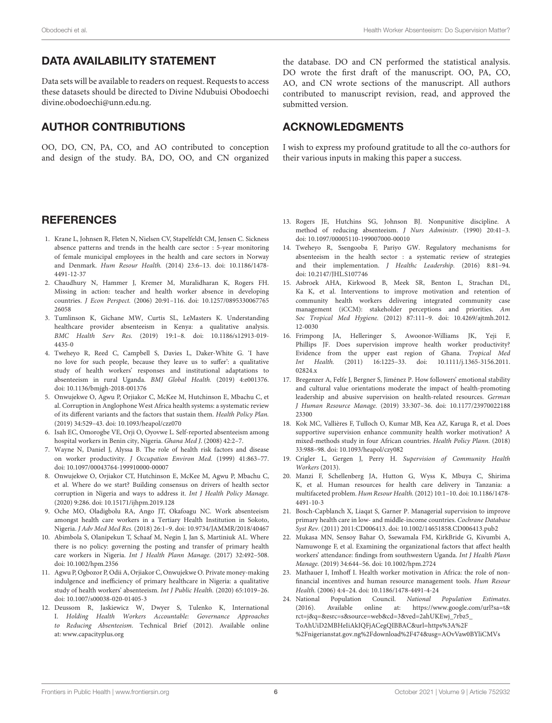# DATA AVAILABILITY STATEMENT

Data sets will be available to readers on request. Requests to access these datasets should be directed to Divine Ndubuisi Obodoechi [divine.obodoechi@unn.edu.ng.](mailto:divine.obodoechi@unn.edu.ng)

# AUTHOR CONTRIBUTIONS

OO, DO, CN, PA, CO, and AO contributed to conception and design of the study. BA, DO, OO, and CN organized the database. DO and CN performed the statistical analysis. DO wrote the first draft of the manuscript. OO, PA, CO, AO, and CN wrote sections of the manuscript. All authors contributed to manuscript revision, read, and approved the submitted version.

## ACKNOWLEDGMENTS

I wish to express my profound gratitude to all the co-authors for their various inputs in making this paper a success.

## **REFERENCES**

- <span id="page-5-0"></span>1. Krane L, Johnsen R, Fleten N, Nielsen CV, Stapelfeldt CM, Jensen C. Sickness absence patterns and trends in the health care sector : 5-year monitoring of female municipal employees in the health and care sectors in Norway and Denmark. Hum Resour Health. [\(2014\) 23:6–13. doi: 10.1186/1478-](https://doi.org/10.1186/1478-4491-12-37) 4491-12-37
- <span id="page-5-1"></span>2. Chaudhury N, Hammer J, Kremer M, Muralidharan K, Rogers FH. Missing in action: teacher and health worker absence in developing countries. J Econ Perspect. [\(2006\) 20:91–116. doi: 10.1257/0895330067765](https://doi.org/10.1257/089533006776526058) 26058
- 3. Tumlinson K, Gichane MW, Curtis SL, LeMasters K. Understanding healthcare provider absenteeism in Kenya: a qualitative analysis. BMC Health Serv Res. [\(2019\) 19:1–8. doi: 10.1186/s12913-019-](https://doi.org/10.1186/s12913-019-4435-0) 4435-0
- 4. Tweheyo R, Reed C, Campbell S, Davies L, Daker-White G. 'I have no love for such people, because they leave us to suffer': a qualitative study of health workers' responses and institutional adaptations to absenteeism in rural Uganda. BMJ Global Health. (2019) 4:e001376. doi: [10.1136/bmjgh-2018-001376](https://doi.org/10.1136/bmjgh-2018-001376)
- <span id="page-5-2"></span>5. Onwujekwe O, Agwu P, Orjiakor C, McKee M, Hutchinson E, Mbachu C, et al. Corruption in Anglophone West Africa health systems: a systematic review of its different variants and the factors that sustain them. Health Policy Plan. (2019) 34:529–43. doi: [10.1093/heapol/czz070](https://doi.org/10.1093/heapol/czz070)
- <span id="page-5-3"></span>6. Isah EC, Omorogbe VE, Orji O, Oyovwe L. Self-reported absenteeism among hospital workers in Benin city, Nigeria. Ghana Med J. (2008) 42:2–7.
- <span id="page-5-4"></span>7. Wayne N, Daniel J, Alyssa B. The role of health risk factors and disease on worker productivity. J Occupation Environ Med. (1999) 41:863–77. doi: [10.1097/00043764-199910000-00007](https://doi.org/10.1097/00043764-199910000-00007)
- <span id="page-5-5"></span>8. Onwujekwe O, Orjiakor CT, Hutchinson E, McKee M, Agwu P, Mbachu C, et al. Where do we start? Building consensus on drivers of health sector corruption in Nigeria and ways to address it. Int J Health Policy Manage. (2020) 9:286. doi: [10.15171/ijhpm.2019.128](https://doi.org/10.15171/ijhpm.2019.128)
- <span id="page-5-6"></span>9. Oche MO, Oladigbolu RA, Ango JT, Okafoagu NC. Work absenteeism amongst health care workers in a Tertiary Health Institution in Sokoto, Nigeria. J Adv Med Med Res. (2018) 26:1–9. doi: [10.9734/JAMMR/2018/40467](https://doi.org/10.9734/JAMMR/2018/40467)
- <span id="page-5-7"></span>10. Abimbola S, Olanipekun T, Schaaf M, Negin J, Jan S, Martiniuk AL. Where there is no policy: governing the posting and transfer of primary health care workers in Nigeria. Int J Health Plann Manage. (2017) 32:492–508. doi: [10.1002/hpm.2356](https://doi.org/10.1002/hpm.2356)
- <span id="page-5-8"></span>11. Agwu P, Ogbozor P, Odii A, Orjiakor C, Onwujekwe O. Private money-making indulgence and inefficiency of primary healthcare in Nigeria: a qualitative study of health workers' absenteeism. Int J Public Health. (2020) 65:1019–26. doi: [10.1007/s00038-020-01405-3](https://doi.org/10.1007/s00038-020-01405-3)
- <span id="page-5-9"></span>12. Deussom R, Jaskiewicz W, Dwyer S, Tulenko K, International I. Holding Health Workers Accountable: Governance Approaches to Reducing Absenteeism. Technical Brief (2012). Available online at: [www.capacityplus.org](http://www.capacityplus.org)
- <span id="page-5-10"></span>13. Rogers JE, Hutchins SG, Johnson BJ. Nonpunitive discipline. A method of reducing absenteeism. J Nurs Administr. (1990) 20:41–3. doi: [10.1097/00005110-199007000-00010](https://doi.org/10.1097/00005110-199007000-00010)
- <span id="page-5-11"></span>14. Tweheyo R, Ssengooba F, Pariyo GW. Regulatory mechanisms for absenteeism in the health sector : a systematic review of strategies and their implementation. J Healthc Leadership. (2016) 8:81–94. doi: [10.2147/JHL.S107746](https://doi.org/10.2147/JHL.S107746)
- <span id="page-5-12"></span>15. Asbroek AHA, Kirkwood B, Meek SR, Benton L, Strachan DL, Ka K, et al. Interventions to improve motivation and retention of community health workers delivering integrated community case management (iCCM): stakeholder perceptions and priorities. Am Soc Tropical Med Hygiene. [\(2012\) 87:111–9. doi: 10.4269/ajtmh.2012.](https://doi.org/10.4269/ajtmh.2012.12-0030) 12-0030
- <span id="page-5-13"></span>16. Frimpong JA, Helleringer S, Awoonor-Williams JK, Yeji F, Phillips JF. Does supervision improve health worker productivity? Evidence from the upper east region of Ghana. Tropical Med Int Health. [\(2011\) 16:1225–33. doi: 10.1111/j.1365-3156.2011.](https://doi.org/10.1111/j.1365-3156.2011.02824.x) 02824.x
- <span id="page-5-14"></span>17. Bregenzer A, Felfe J, Bergner S, Jiménez P. How followers' emotional stability and cultural value orientations moderate the impact of health-promoting leadership and abusive supervision on health-related resources. German J Human Resource Manage. [\(2019\) 33:307–36. doi: 10.1177/23970022188](https://doi.org/10.1177/2397002218823300) 23300
- <span id="page-5-15"></span>18. Kok MC, Vallières F, Tulloch O, Kumar MB, Kea AZ, Karuga R, et al. Does supportive supervision enhance community health worker motivation? A mixed-methods study in four African countries. Health Policy Plann. (2018) 33:988–98. doi: [10.1093/heapol/czy082](https://doi.org/10.1093/heapol/czy082)
- <span id="page-5-16"></span>19. Crigler L, Gergen J, Perry H. Supervision of Community Health Workers (2013).
- <span id="page-5-17"></span>20. Manzi F, Schellenberg JA, Hutton G, Wyss K, Mbuya C, Shirima K, et al. Human resources for health care delivery in Tanzania: a multifaceted problem. Hum Resour Health. [\(2012\) 10:1–10. doi: 10.1186/1478-](https://doi.org/10.1186/1478-4491-10-3) 4491-10-3
- <span id="page-5-18"></span>21. Bosch-Capblanch X, Liaqat S, Garner P. Managerial supervision to improve primary health care in low- and middle-income countries. Cochrane Database Syst Rev. (2011) 2011:CD006413. doi: [10.1002/14651858.CD006413.pub2](https://doi.org/10.1002/14651858.CD006413.pub2)
- <span id="page-5-19"></span>22. Mukasa MN, Sensoy Bahar O, Ssewamala FM, KirkBride G, Kivumbi A, Namuwonge F, et al. Examining the organizational factors that affect health workers' attendance: findings from southwestern Uganda. Int J Health Plann Manage. (2019) 34:644–56. doi: [10.1002/hpm.2724](https://doi.org/10.1002/hpm.2724)
- <span id="page-5-20"></span>23. Mathauer I, Imhoff I. Health worker motivation in Africa: the role of nonfinancial incentives and human resource management tools. Hum Resour Health. (2006) 4:4–24. doi: [10.1186/1478-4491-4-24](https://doi.org/10.1186/1478-4491-4-24)
- <span id="page-5-21"></span>24. National Population Council. National Population Estimates. (2016). Available online at: [https://www.google.com/url?sa=t&](https://www.google.com/url?sa=t&rct=j&q=&esrc=s&source=web&cd=3&ved=2ahUKEwj_7rbz5_ToAhUiD2MBHeIiAkIQFjACegQIBBAC&url=https%3A%2F%2Fnigerianstat.gov.ng%2Fdownload%2F474&usg=AOvVaw0BYliCMVs) [rct=j&q=&esrc=s&source=web&cd=3&ved=2ahUKEwj\\_7rbz5\\_](https://www.google.com/url?sa=t&rct=j&q=&esrc=s&source=web&cd=3&ved=2ahUKEwj_7rbz5_ToAhUiD2MBHeIiAkIQFjACegQIBBAC&url=https%3A%2F%2Fnigerianstat.gov.ng%2Fdownload%2F474&usg=AOvVaw0BYliCMVs) [ToAhUiD2MBHeIiAkIQFjACegQIBBAC&url=https%3A%2F](https://www.google.com/url?sa=t&rct=j&q=&esrc=s&source=web&cd=3&ved=2ahUKEwj_7rbz5_ToAhUiD2MBHeIiAkIQFjACegQIBBAC&url=https%3A%2F%2Fnigerianstat.gov.ng%2Fdownload%2F474&usg=AOvVaw0BYliCMVs) [%2Fnigerianstat.gov.ng%2Fdownload%2F474&usg=AOvVaw0BYliCMVs](https://www.google.com/url?sa=t&rct=j&q=&esrc=s&source=web&cd=3&ved=2ahUKEwj_7rbz5_ToAhUiD2MBHeIiAkIQFjACegQIBBAC&url=https%3A%2F%2Fnigerianstat.gov.ng%2Fdownload%2F474&usg=AOvVaw0BYliCMVs)